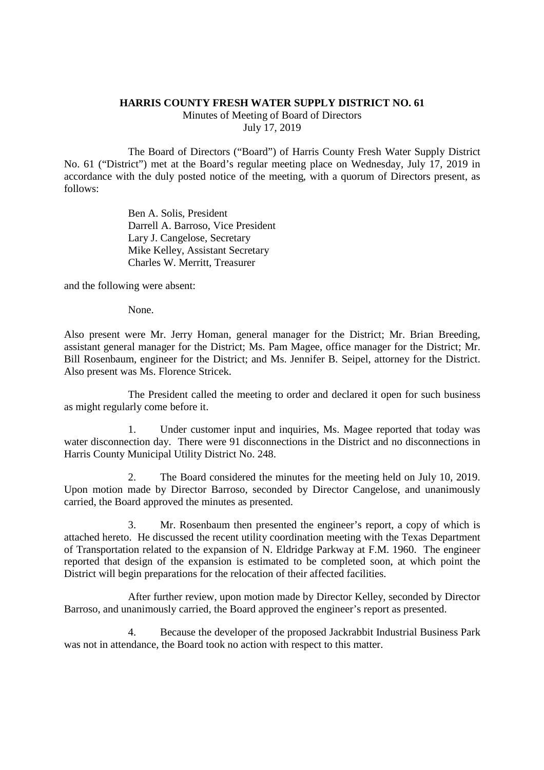## **HARRIS COUNTY FRESH WATER SUPPLY DISTRICT NO. 61**

Minutes of Meeting of Board of Directors July 17, 2019

The Board of Directors ("Board") of Harris County Fresh Water Supply District No. 61 ("District") met at the Board's regular meeting place on Wednesday, July 17, 2019 in accordance with the duly posted notice of the meeting, with a quorum of Directors present, as follows:

> Ben A. Solis, President Darrell A. Barroso, Vice President Lary J. Cangelose, Secretary Mike Kelley, Assistant Secretary Charles W. Merritt, Treasurer

and the following were absent:

None.

Also present were Mr. Jerry Homan, general manager for the District; Mr. Brian Breeding, assistant general manager for the District; Ms. Pam Magee, office manager for the District; Mr. Bill Rosenbaum, engineer for the District; and Ms. Jennifer B. Seipel, attorney for the District. Also present was Ms. Florence Stricek.

The President called the meeting to order and declared it open for such business as might regularly come before it.

1. Under customer input and inquiries, Ms. Magee reported that today was water disconnection day. There were 91 disconnections in the District and no disconnections in Harris County Municipal Utility District No. 248.

2. The Board considered the minutes for the meeting held on July 10, 2019. Upon motion made by Director Barroso, seconded by Director Cangelose, and unanimously carried, the Board approved the minutes as presented.

3. Mr. Rosenbaum then presented the engineer's report, a copy of which is attached hereto. He discussed the recent utility coordination meeting with the Texas Department of Transportation related to the expansion of N. Eldridge Parkway at F.M. 1960. The engineer reported that design of the expansion is estimated to be completed soon, at which point the District will begin preparations for the relocation of their affected facilities.

After further review, upon motion made by Director Kelley, seconded by Director Barroso, and unanimously carried, the Board approved the engineer's report as presented.

4. Because the developer of the proposed Jackrabbit Industrial Business Park was not in attendance, the Board took no action with respect to this matter.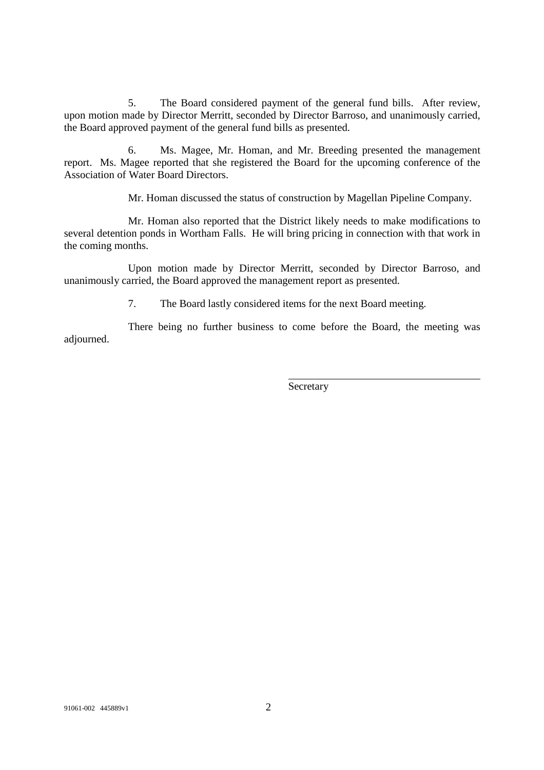5. The Board considered payment of the general fund bills. After review, upon motion made by Director Merritt, seconded by Director Barroso, and unanimously carried, the Board approved payment of the general fund bills as presented.

6. Ms. Magee, Mr. Homan, and Mr. Breeding presented the management report. Ms. Magee reported that she registered the Board for the upcoming conference of the Association of Water Board Directors.

Mr. Homan discussed the status of construction by Magellan Pipeline Company.

Mr. Homan also reported that the District likely needs to make modifications to several detention ponds in Wortham Falls. He will bring pricing in connection with that work in the coming months.

Upon motion made by Director Merritt, seconded by Director Barroso, and unanimously carried, the Board approved the management report as presented.

7. The Board lastly considered items for the next Board meeting.

There being no further business to come before the Board, the meeting was adjourned.

**Secretary**